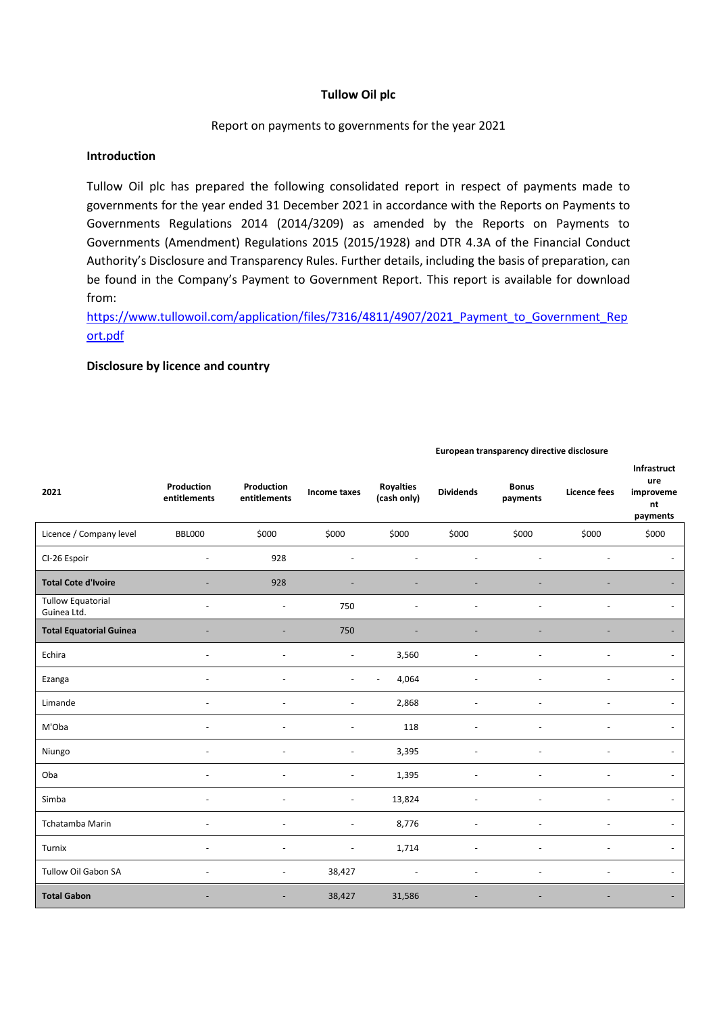### **Tullow Oil plc**

### Report on payments to governments for the year 2021

## **Introduction**

Tullow Oil plc has prepared the following consolidated report in respect of payments made to governments for the year ended 31 December 2021 in accordance with the Reports on Payments to Governments Regulations 2014 (2014/3209) as amended by the Reports on Payments to Governments (Amendment) Regulations 2015 (2015/1928) and DTR 4.3A of the Financial Conduct Authority's Disclosure and Transparency Rules. Further details, including the basis of preparation, can be found in the Company's Payment to Government Report. This report is available for download from:

[https://www.tullowoil.com/application/files/7316/4811/4907/2021\\_Payment\\_to\\_Government\\_Rep](https://www.tullowoil.com/application/files/7316/4811/4907/2021_Payment_to_Government_Report.pdf) [ort.pdf](https://www.tullowoil.com/application/files/7316/4811/4907/2021_Payment_to_Government_Report.pdf)

#### **Disclosure by licence and country**

| 2021                                    | Production<br>entitlements | Production<br>entitlements | Income taxes             | <b>Royalties</b><br>(cash only) | <b>Dividends</b> | <b>Bonus</b><br>payments | <b>Licence fees</b> | Infrastruct<br>ure<br>improveme<br>nt<br>payments |
|-----------------------------------------|----------------------------|----------------------------|--------------------------|---------------------------------|------------------|--------------------------|---------------------|---------------------------------------------------|
| Licence / Company level                 | <b>BBL000</b>              | \$000                      | \$000                    | \$000                           | \$000            | \$000                    | \$000               | \$000                                             |
| CI-26 Espoir                            | $\overline{a}$             | 928                        | ÷,                       | $\overline{a}$                  | $\overline{a}$   |                          |                     |                                                   |
| <b>Total Cote d'Ivoire</b>              |                            | 928                        |                          |                                 |                  |                          |                     |                                                   |
| <b>Tullow Equatorial</b><br>Guinea Ltd. |                            | $\overline{\phantom{a}}$   | 750                      |                                 |                  |                          |                     |                                                   |
| <b>Total Equatorial Guinea</b>          |                            |                            | 750                      |                                 |                  |                          |                     |                                                   |
| Echira                                  |                            | Ĭ.                         | $\overline{\phantom{a}}$ | 3,560                           |                  |                          |                     |                                                   |
| Ezanga                                  |                            |                            |                          | 4,064                           | L,               |                          |                     |                                                   |
| Limande                                 |                            | ÷                          | ÷,                       | 2,868                           |                  |                          |                     |                                                   |
| M'Oba                                   |                            |                            | $\overline{a}$           | 118                             |                  |                          |                     |                                                   |
| Niungo                                  |                            |                            | ÷                        | 3,395                           |                  |                          |                     |                                                   |
| Oba                                     |                            | ÷                          | $\sim$                   | 1,395                           | $\overline{a}$   |                          | ۰                   |                                                   |
| Simba                                   | $\overline{a}$             | ÷                          | $\blacksquare$           | 13,824                          | $\overline{a}$   | $\overline{\phantom{a}}$ | ÷                   |                                                   |
| Tchatamba Marin                         | ÷                          | $\overline{a}$             | $\overline{\phantom{a}}$ | 8,776                           | $\overline{a}$   | ÷                        | ÷                   |                                                   |
| Turnix                                  | $\overline{a}$             | $\overline{a}$             | $\blacksquare$           | 1,714                           | $\overline{a}$   |                          | L,                  |                                                   |
| <b>Tullow Oil Gabon SA</b>              |                            | $\overline{a}$             | 38,427                   | $\blacksquare$                  | $\overline{a}$   |                          |                     |                                                   |
| <b>Total Gabon</b>                      |                            |                            | 38,427                   | 31,586                          |                  |                          |                     |                                                   |

#### **European transparency directive disclosure**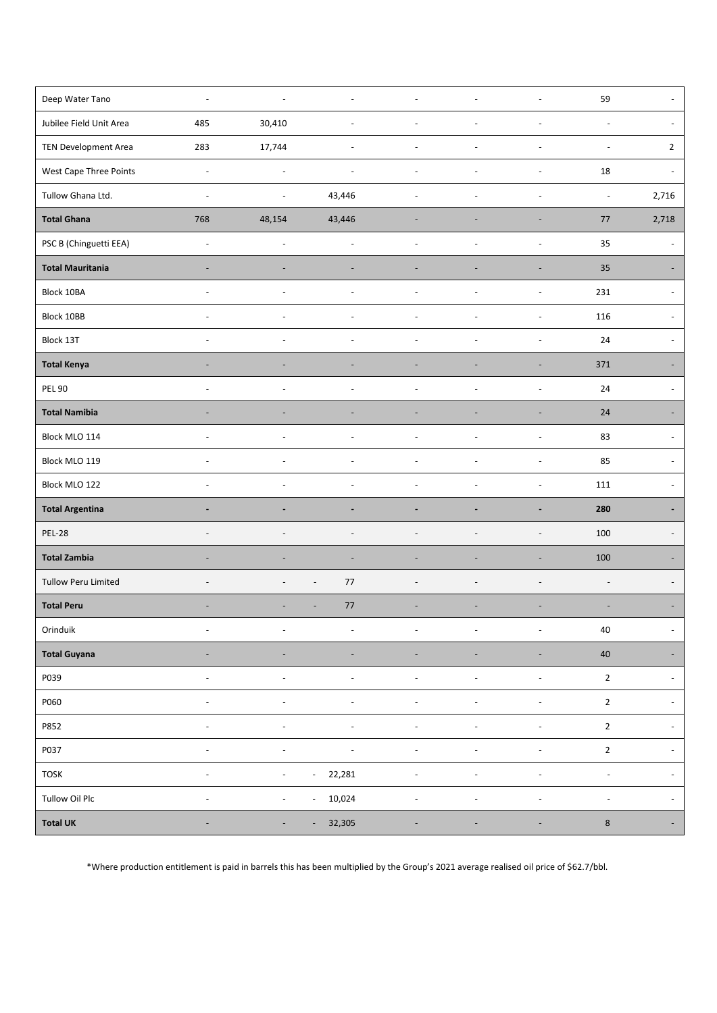| Deep Water Tano             | $\overline{\phantom{a}}$ | $\overline{a}$           | $\sim$                             | $\blacksquare$           | $\overline{a}$           | $\overline{\phantom{a}}$     | 59                       |                          |
|-----------------------------|--------------------------|--------------------------|------------------------------------|--------------------------|--------------------------|------------------------------|--------------------------|--------------------------|
| Jubilee Field Unit Area     | 485                      | 30,410                   |                                    |                          |                          |                              | $\blacksquare$           | $\blacksquare$           |
| <b>TEN Development Area</b> | 283                      | 17,744                   | $\overline{\phantom{a}}$           | $\blacksquare$           | $\sim$                   | $\overline{\phantom{a}}$     | $\sim$                   | $\overline{2}$           |
| West Cape Three Points      | $\overline{\phantom{a}}$ | $\overline{\phantom{a}}$ | $\sim$                             | $\blacksquare$           | $\overline{a}$           | $\overline{\phantom{a}}$     | 18                       |                          |
| Tullow Ghana Ltd.           | $\overline{\phantom{a}}$ |                          | 43,446                             | L,                       |                          |                              | $\Box$                   | 2,716                    |
| <b>Total Ghana</b>          | 768                      | 48,154                   | 43,446                             |                          |                          | ٠                            | 77                       | 2,718                    |
| PSC B (Chinguetti EEA)      | $\overline{\phantom{a}}$ | $\overline{a}$           | $\overline{a}$                     | $\blacksquare$           | $\overline{a}$           | $\overline{\phantom{a}}$     | 35                       |                          |
| <b>Total Mauritania</b>     |                          |                          |                                    |                          |                          |                              | 35                       |                          |
| Block 10BA                  |                          | Ē,                       | $\sim$                             |                          | $\overline{a}$           | ł,                           | 231                      | $\overline{\phantom{a}}$ |
| Block 10BB                  | $\overline{\phantom{a}}$ | $\overline{a}$           |                                    | L,                       |                          | $\overline{\phantom{a}}$     | 116                      |                          |
| Block 13T                   | $\overline{\phantom{a}}$ | ÷,                       |                                    | $\overline{\phantom{a}}$ |                          | $\overline{a}$               | 24                       | $\overline{\phantom{a}}$ |
| <b>Total Kenya</b>          |                          |                          |                                    |                          |                          |                              | 371                      |                          |
| <b>PEL 90</b>               |                          | L,                       |                                    |                          |                          | Ĭ.                           | 24                       |                          |
| <b>Total Namibia</b>        | $\overline{\phantom{a}}$ | $\overline{\phantom{a}}$ |                                    | $\overline{\phantom{a}}$ | $\overline{\phantom{a}}$ | $\overline{\phantom{a}}$     | 24                       |                          |
| Block MLO 114               |                          |                          |                                    |                          |                          | $\overline{\phantom{a}}$     | 83                       |                          |
| Block MLO 119               |                          |                          |                                    |                          |                          | L,                           | 85                       |                          |
| Block MLO 122               | $\overline{a}$           | $\overline{a}$           | $\overline{a}$                     | $\blacksquare$           | $\overline{a}$           | ÷,                           | 111                      | $\overline{\phantom{a}}$ |
| <b>Total Argentina</b>      |                          |                          |                                    |                          |                          | $\blacksquare$               | 280                      |                          |
| <b>PEL-28</b>               |                          |                          |                                    |                          |                          | L.                           | 100                      |                          |
| <b>Total Zambia</b>         |                          | ÷                        | $\overline{a}$                     | $\overline{\phantom{a}}$ | ۳                        | $\overline{a}$               | 100                      |                          |
| <b>Tullow Peru Limited</b>  |                          |                          | 77<br>$\overline{\phantom{a}}$     | L,                       |                          |                              |                          |                          |
| <b>Total Peru</b>           | $\overline{\phantom{a}}$ |                          | 77<br>$\overline{a}$               | $\overline{\phantom{a}}$ | $\overline{\phantom{a}}$ | $\overline{\phantom{a}}$     | $\overline{\phantom{a}}$ |                          |
| Orinduik                    | $\overline{\phantom{a}}$ | $\overline{\phantom{a}}$ | $\overline{\phantom{a}}$           | $\overline{\phantom{a}}$ | $\overline{\phantom{a}}$ | $\overline{\phantom{a}}$     | $40\,$                   | $\overline{\phantom{a}}$ |
| <b>Total Guyana</b>         | $\overline{\phantom{a}}$ | ÷                        | $\overline{\phantom{a}}$           | $\overline{\phantom{a}}$ | $\overline{\phantom{a}}$ | $\overline{\phantom{a}}$     | $40\,$                   |                          |
| P039                        | $\blacksquare$           | $\overline{a}$           | $\overline{\phantom{a}}$           | $\overline{\phantom{a}}$ | $\overline{\phantom{a}}$ | $\overline{\phantom{a}}$     | $\mathbf 2$              | $\overline{\phantom{a}}$ |
| P060                        | $\overline{\phantom{a}}$ | $\overline{\phantom{a}}$ | $\overline{\phantom{a}}$           | $\blacksquare$           | $\overline{\phantom{a}}$ | $\overline{\phantom{a}}$     | $\mathbf 2$              | $\overline{\phantom{a}}$ |
| P852                        | $\overline{\phantom{a}}$ | $\blacksquare$           | $\overline{\phantom{a}}$           | $\overline{\phantom{a}}$ | $\overline{\phantom{a}}$ | $\qquad \qquad \blacksquare$ | $\mathbf 2$              | $\overline{\phantom{a}}$ |
| P037                        | $\overline{a}$           | ÷,                       |                                    | $\overline{\phantom{a}}$ |                          | ł,                           | $\mathbf 2$              | $\overline{\phantom{a}}$ |
| TOSK                        | $\overline{\phantom{a}}$ | $\blacksquare$           | 22,281<br>$\overline{\phantom{a}}$ | $\overline{\phantom{a}}$ | $\overline{\phantom{a}}$ | $\overline{\phantom{a}}$     | $\overline{\phantom{a}}$ | $\overline{\phantom{a}}$ |
| Tullow Oil Plc              | $\overline{\phantom{a}}$ | $\overline{\phantom{a}}$ | 10,024<br>$\overline{\phantom{a}}$ | $\overline{\phantom{a}}$ | $\overline{\phantom{a}}$ | $\overline{\phantom{a}}$     | $\blacksquare$           | $\overline{\phantom{a}}$ |
| <b>Total UK</b>             |                          |                          | 32,305                             |                          |                          | ۰                            | $\bf 8$                  |                          |

\*Where production entitlement is paid in barrels this has been multiplied by the Group's 2021 average realised oil price of \$62.7/bbl.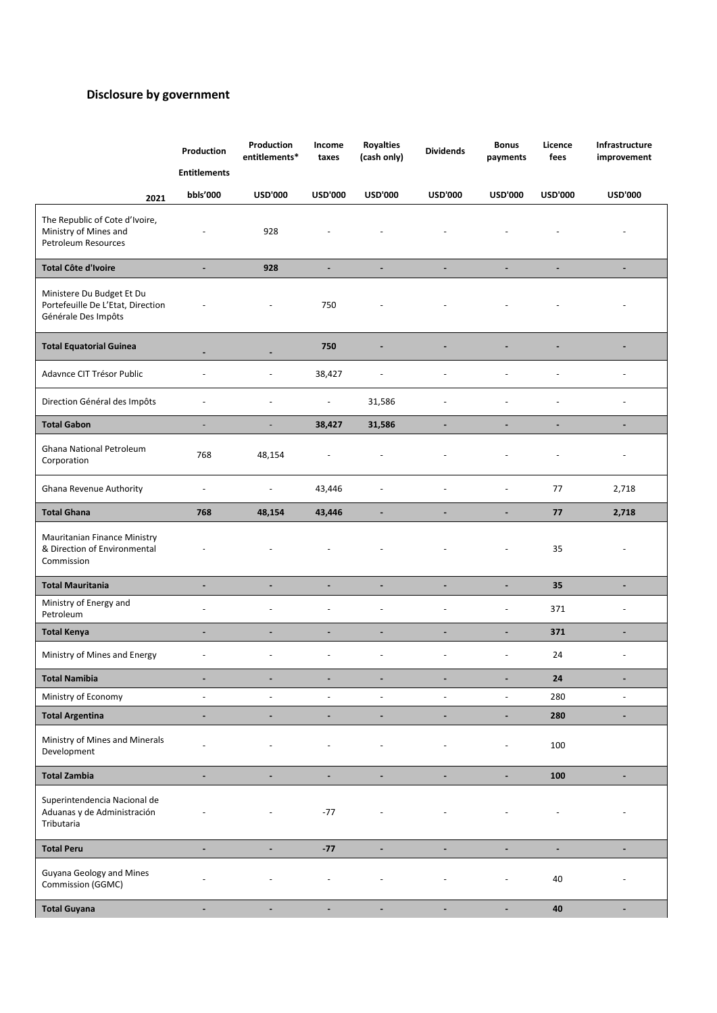# **Disclosure by government**

|                                                                                       | Production<br><b>Entitlements</b> | Production<br>entitlements* | Income<br>taxes          | <b>Royalties</b><br>(cash only) | <b>Dividends</b>         | <b>Bonus</b><br>payments | Licence<br>fees | Infrastructure<br>improvement |
|---------------------------------------------------------------------------------------|-----------------------------------|-----------------------------|--------------------------|---------------------------------|--------------------------|--------------------------|-----------------|-------------------------------|
| 2021                                                                                  | bbls'000                          | <b>USD'000</b>              | <b>USD'000</b>           | <b>USD'000</b>                  | <b>USD'000</b>           | <b>USD'000</b>           | <b>USD'000</b>  | <b>USD'000</b>                |
| The Republic of Cote d'Ivoire,<br>Ministry of Mines and<br>Petroleum Resources        |                                   | 928                         |                          |                                 |                          |                          |                 | $\overline{\phantom{a}}$      |
| <b>Total Côte d'Ivoire</b>                                                            | $\blacksquare$                    | 928                         | $\blacksquare$           | $\blacksquare$                  | ٠                        | $\overline{\phantom{a}}$ | $\blacksquare$  | $\overline{\phantom{a}}$      |
| Ministere Du Budget Et Du<br>Portefeuille De L'Etat, Direction<br>Générale Des Impôts |                                   | $\overline{\phantom{a}}$    | 750                      | $\overline{\phantom{a}}$        |                          |                          |                 | $\overline{\phantom{a}}$      |
| <b>Total Equatorial Guinea</b>                                                        |                                   |                             | 750                      |                                 |                          |                          |                 |                               |
| Adavnce CIT Trésor Public                                                             |                                   |                             | 38,427                   | $\overline{a}$                  |                          |                          |                 |                               |
| Direction Général des Impôts                                                          |                                   | ÷,                          | $\overline{\phantom{a}}$ | 31,586                          | L,                       |                          |                 | $\sim$                        |
| <b>Total Gabon</b>                                                                    | $\overline{\phantom{a}}$          | ÷,                          | 38,427                   | 31,586                          |                          |                          | ÷               | ۰                             |
| Ghana National Petroleum<br>Corporation                                               | 768                               | 48,154                      |                          |                                 |                          |                          |                 | $\overline{\phantom{a}}$      |
| Ghana Revenue Authority                                                               | $\overline{\phantom{a}}$          | $\overline{\phantom{a}}$    | 43,446                   | $\overline{\phantom{a}}$        | $\overline{a}$           | $\overline{a}$           | 77              | 2,718                         |
| <b>Total Ghana</b>                                                                    | 768                               | 48,154                      | 43,446                   |                                 | -                        |                          | 77              | 2,718                         |
| Mauritanian Finance Ministry<br>& Direction of Environmental<br>Commission            |                                   |                             |                          |                                 |                          |                          | 35              | $\sim$                        |
| <b>Total Mauritania</b>                                                               | $\blacksquare$                    | ٠                           | $\blacksquare$           | $\blacksquare$                  | ÷                        | ۰                        | 35              | $\blacksquare$                |
| Ministry of Energy and<br>Petroleum                                                   | $\overline{a}$                    | ÷,                          |                          | $\blacksquare$                  | L,                       | $\overline{a}$           | 371             | $\overline{\phantom{a}}$      |
| <b>Total Kenya</b>                                                                    | $\blacksquare$                    | $\blacksquare$              | $\blacksquare$           | $\blacksquare$                  | $\blacksquare$           | $\blacksquare$           | 371             | $\blacksquare$                |
| Ministry of Mines and Energy                                                          |                                   | ÷,                          |                          | $\overline{\phantom{a}}$        | L,                       | $\overline{a}$           | 24              | $\overline{a}$                |
| Total Namibia                                                                         | $\blacksquare$                    |                             |                          |                                 |                          |                          | 24              | $\blacksquare$                |
| Ministry of Economy                                                                   | $\overline{\phantom{a}}$          | $\overline{\phantom{a}}$    | $\overline{\phantom{a}}$ | $\overline{\phantom{a}}$        | $\overline{\phantom{a}}$ | $\overline{\phantom{a}}$ | 280             | $\overline{\phantom{a}}$      |
| <b>Total Argentina</b>                                                                | $\blacksquare$                    | $\blacksquare$              | $\blacksquare$           | $\blacksquare$                  | $\blacksquare$           | $\blacksquare$           | 280             | $\blacksquare$                |
| Ministry of Mines and Minerals<br>Development                                         |                                   |                             |                          |                                 |                          | $\overline{a}$           | 100             |                               |
| <b>Total Zambia</b>                                                                   | $\blacksquare$                    | ÷                           | $\blacksquare$           | $\blacksquare$                  | $\blacksquare$           | -                        | 100             | $\blacksquare$                |
| Superintendencia Nacional de<br>Aduanas y de Administración<br>Tributaria             |                                   |                             | $-77$                    |                                 |                          |                          |                 |                               |
| <b>Total Peru</b>                                                                     | $\blacksquare$                    | $\blacksquare$              | $-77$                    | $\blacksquare$                  | $\blacksquare$           | $\blacksquare$           | $\blacksquare$  | $\blacksquare$                |
| Guyana Geology and Mines<br>Commission (GGMC)                                         |                                   |                             |                          |                                 |                          |                          | 40              |                               |
| <b>Total Guyana</b>                                                                   |                                   |                             |                          |                                 |                          |                          | 40              |                               |